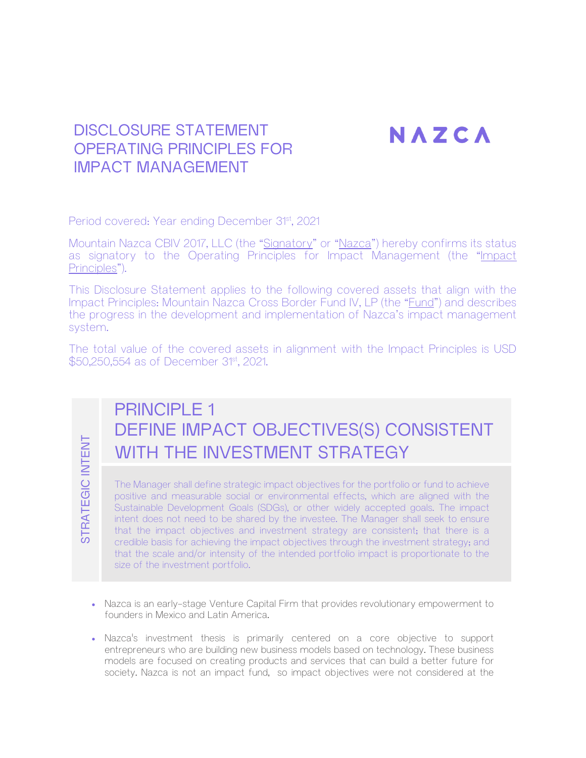# NAZCA

## DISCLOSURE STATEMENT OPFRATING PRINCIPLES FOR IMPACT MANAGEMENT

Period covered: Year ending December 31<sup>st</sup>, 2021

Mountain Nazca CBIV 2017, LLC (the "Signatory" or "Nazca") hereby confirms its status as signatory to the Operating Principles for Impact Management (the "Impact Principles").

This Disclosure Statement applies to the following covered assets that align with the Impact Principles: Mountain Nazca Cross Border Fund IV, LP (the "Fund") and describes the progress in the development and implementation of Nazca's impact management system.

The total value of the covered assets in alignment with the Impact Principles is USD \$50,250,554 as of December 31<sup>st</sup>, 2021.

STRATEGIC INTENT STRATEGIC INTENT

# PRINCIPLE 1 DEFINE IMPACT OBJECTIVES(S) CONSISTENT WITH THE INVESTMENT STRATEGY

The Manager shall define strategic impact objectives for the portfolio or fund to achieve positive and measurable social or environmental effects, which are aligned with the Sustainable Development Goals (SDGs), or other widely accepted goals. The impact intent does not need to be shared by the investee. The Manager shall seek to ensure that the impact objectives and investment strategy are consistent; that there is a credible basis for achieving the impact objectives through the investment strategy; and that the scale and/or intensity of the intended portfolio impact is proportionate to the size of the investment portfolio.

- Nazca is an early-stage Venture Capital Firm that provides revolutionary empowerment to founders in Mexico and Latin America.
- Nazca's investment thesis is primarily centered on a core objective to support entrepreneurs who are building new business models based on technology. These business models are focused on creating products and services that can build a better future for society. Nazca is not an impact fund, so impact objectives were not considered at the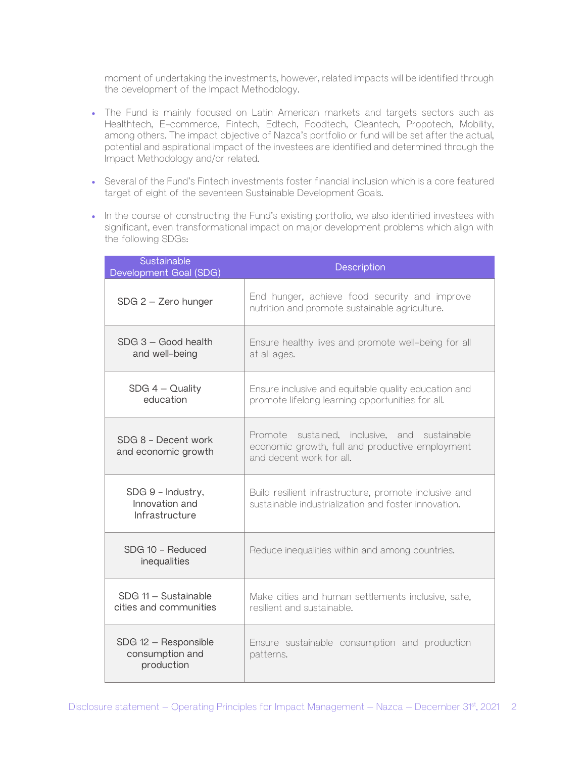moment of undertaking the investments, however, related impacts will be identified through the development of the Impact Methodology.

- The Fund is mainly focused on Latin American markets and targets sectors such as Healthtech, E-commerce, Fintech, Edtech, Foodtech, Cleantech, Propotech, Mobility, among others. The impact objective of Nazca's portfolio or fund will be set after the actual, potential and aspirational impact of the investees are identified and determined through the Impact Methodology and/or related.
- Several of the Fund's Fintech investments foster financial inclusion which is a core featured target of eight of the seventeen Sustainable Development Goals.
- In the course of constructing the Fund's existing portfolio, we also identified investees with significant, even transformational impact on major development problems which align with the following SDGs:

| Sustainable<br>Development Goal (SDG)                 | Description                                                                                                                  |
|-------------------------------------------------------|------------------------------------------------------------------------------------------------------------------------------|
| $SDG$ 2 – Zero hunger                                 | End hunger, achieve food security and improve<br>nutrition and promote sustainable agriculture.                              |
| SDG 3 - Good health<br>and well-being                 | Ensure healthy lives and promote well-being for all<br>at all ages.                                                          |
| $SDG$ 4 – Quality<br>education                        | Ensure inclusive and equitable quality education and<br>promote lifelong learning opportunities for all.                     |
| SDG 8 - Decent work<br>and economic growth            | Promote sustained, inclusive, and sustainable<br>economic growth, full and productive employment<br>and decent work for all. |
| SDG 9 - Industry,<br>Innovation and<br>Infrastructure | Build resilient infrastructure, promote inclusive and<br>sustainable industrialization and foster innovation.                |
| SDG 10 - Reduced<br>inequalities                      | Reduce inequalities within and among countries.                                                                              |
| SDG 11 - Sustainable<br>cities and communities        | Make cities and human settlements inclusive, safe,<br>resilient and sustainable.                                             |
| SDG 12 - Responsible<br>consumption and<br>production | Ensure sustainable consumption and production<br>patterns.                                                                   |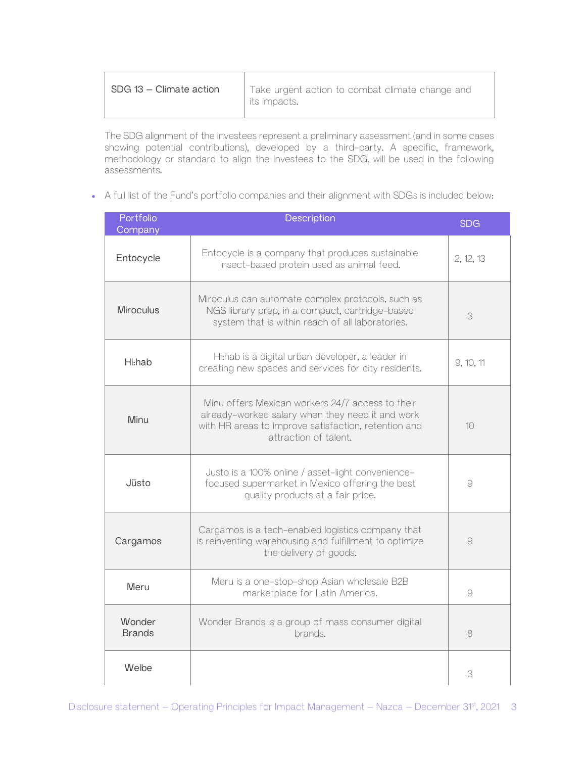| $\parallel$ SDG 13 – Climate action | Take urgent action to combat climate change and<br>its impacts. |
|-------------------------------------|-----------------------------------------------------------------|
|                                     |                                                                 |

The SDG alignment of the investees represent a preliminary assessment (and in some cases showing potential contributions), developed by a third-party. A specific, framework, methodology or standard to align the Investees to the SDG, will be used in the following assessments.

• A full list of the Fund's portfolio companies and their alignment with SDGs is included below:

| Portfolio<br>Company    | Description                                                                                                                                                                           | <b>SDG</b> |
|-------------------------|---------------------------------------------------------------------------------------------------------------------------------------------------------------------------------------|------------|
| Entocycle               | Entocycle is a company that produces sustainable<br>insect-based protein used as animal feed.                                                                                         | 2, 12, 13  |
| <b>Miroculus</b>        | Miroculus can automate complex protocols, such as<br>NGS library prep, in a compact, cartridge-based<br>system that is within reach of all laboratories.                              | 3          |
| Hi:hab                  | Hi:hab is a digital urban developer, a leader in<br>creating new spaces and services for city residents.                                                                              | 9, 10, 11  |
| Minu                    | Minu offers Mexican workers 24/7 access to their<br>already-worked salary when they need it and work<br>with HR areas to improve satisfaction, retention and<br>attraction of talent. | 10         |
| Jüsto                   | Justo is a 100% online / asset-light convenience-<br>focused supermarket in Mexico offering the best<br>quality products at a fair price.                                             | 9          |
| Cargamos                | Cargamos is a tech-enabled logistics company that<br>is reinventing warehousing and fulfillment to optimize<br>the delivery of goods.                                                 | 9          |
| Meru                    | Meru is a one-stop-shop Asian wholesale B2B<br>marketplace for Latin America.                                                                                                         | 9          |
| Wonder<br><b>Brands</b> | Wonder Brands is a group of mass consumer digital<br>brands.                                                                                                                          | 8          |
| Welbe                   |                                                                                                                                                                                       | 3          |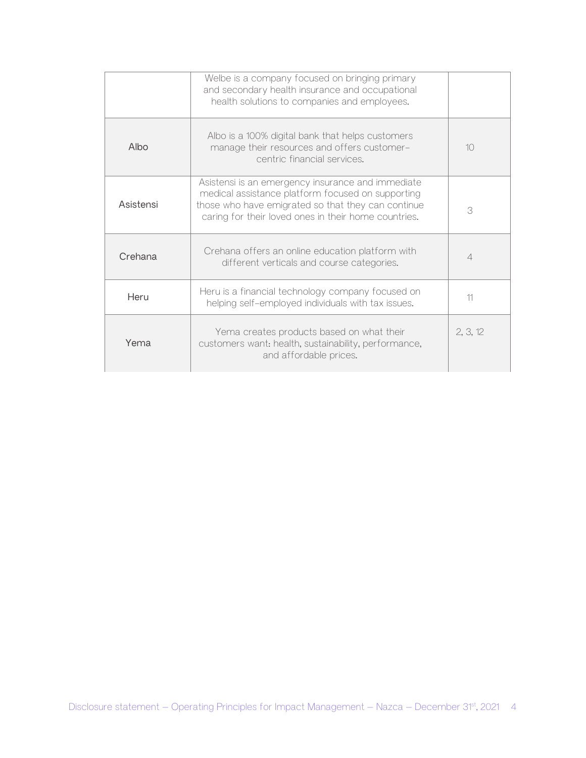|           | Welbe is a company focused on bringing primary<br>and secondary health insurance and occupational<br>health solutions to companies and employees.                                                                    |                |
|-----------|----------------------------------------------------------------------------------------------------------------------------------------------------------------------------------------------------------------------|----------------|
| Albo      | Albo is a 100% digital bank that helps customers<br>manage their resources and offers customer-<br>centric financial services.                                                                                       | 10             |
| Asistensi | Asistensi is an emergency insurance and immediate<br>medical assistance platform focused on supporting<br>those who have emigrated so that they can continue<br>caring for their loved ones in their home countries. | 3              |
| Crehana   | Crehana offers an online education platform with<br>different verticals and course categories.                                                                                                                       | $\overline{4}$ |
| Heru      | Heru is a financial technology company focused on<br>helping self-employed individuals with tax issues.                                                                                                              | 11             |
| Yema      | Yema creates products based on what their<br>customers want: health, sustainability, performance,<br>and affordable prices.                                                                                          | 2, 3, 12       |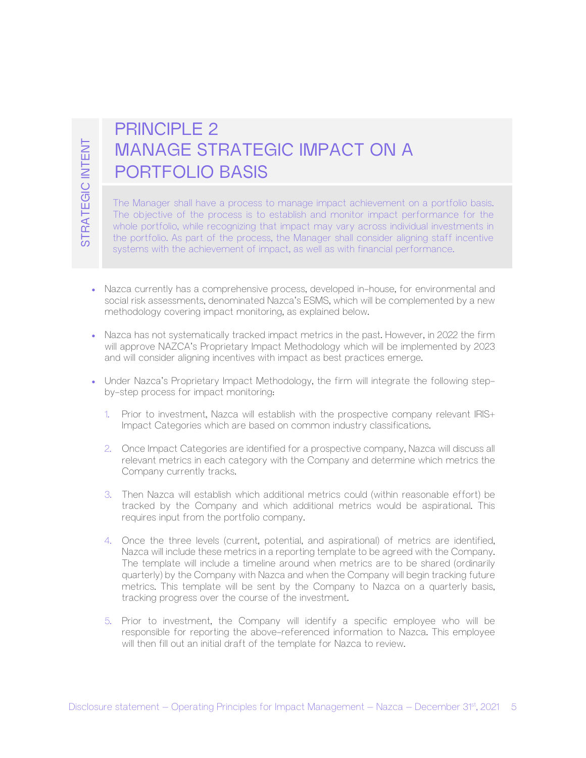# PRINCIPLE 2 MANAGE STRATEGIC IMPACT ON A PORTFOLIO BASIS

The Manager shall have a process to manage impact achievement on a portfolio basis. The objective of the process is to establish and monitor impact performance for the whole portfolio, while recognizing that impact may vary across individual investments in the portfolio. As part of the process, the Manager shall consider aligning staff incentive systems with the achievement of impact, as well as with financial performance.

- Nazca currently has a comprehensive process, developed in-house, for environmental and social risk assessments, denominated Nazca's ESMS, which will be complemented by a new methodology covering impact monitoring, as explained below.
- Nazca has not systematically tracked impact metrics in the past. However, in 2022 the firm will approve NAZCA's Proprietary Impact Methodology which will be implemented by 2023 and will consider aligning incentives with impact as best practices emerge.
- Under Nazca's Proprietary Impact Methodology, the firm will integrate the following stepby-step process for impact monitoring:
	- 1. Prior to investment, Nazca will establish with the prospective company relevant IRIS+ Impact Categories which are based on common industry classifications.
	- 2. Once Impact Categories are identified for a prospective company, Nazca will discuss all relevant metrics in each category with the Company and determine which metrics the Company currently tracks.
	- 3. Then Nazca will establish which additional metrics could (within reasonable effort) be tracked by the Company and which additional metrics would be aspirational. This requires input from the portfolio company.
- MANAGE STRATEGIC IMPACT ON A<br>
PORTFOLIO BASIS<br>
The Management distribution of the consideration of the internal and the statement can use that<br>
The consider state internal internal model in most performance for the<br>
The c 4. Once the three levels (current, potential, and aspirational) of metrics are identified, Nazca will include these metrics in a reporting template to be agreed with the Company. The template will include a timeline around when metrics are to be shared (ordinarily quarterly) by the Company with Nazca and when the Company will begin tracking future metrics. This template will be sent by the Company to Nazca on a quarterly basis, tracking progress over the course of the investment.
	- 5. Prior to investment, the Company will identify a specific employee who will be responsible for reporting the above-referenced information to Nazca. This employee will then fill out an initial draft of the template for Nazca to review.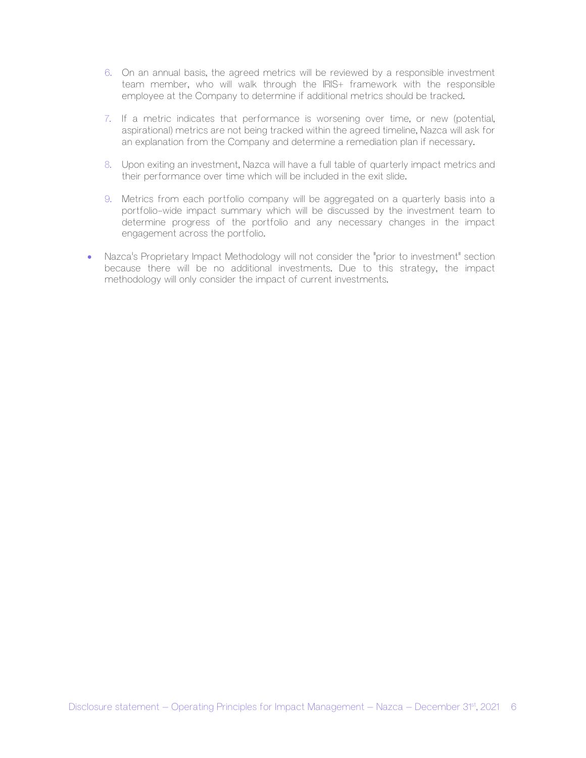- 6. On an annual basis, the agreed metrics will be reviewed by a responsible investment team member, who will walk through the IRIS+ framework with the responsible employee at the Company to determine if additional metrics should be tracked.
- 7. If a metric indicates that performance is worsening over time, or new (potential, aspirational) metrics are not being tracked within the agreed timeline, Nazca will ask for an explanation from the Company and determine a remediation plan if necessary.
- 8. Upon exiting an investment, Nazca will have a full table of quarterly impact metrics and their performance over time which will be included in the exit slide.
- 9. Metrics from each portfolio company will be aggregated on a quarterly basis into a portfolio-wide impact summary which will be discussed by the investment team to determine progress of the portfolio and any necessary changes in the impact engagement across the portfolio.
- Nazca's Proprietary Impact Methodology will not consider the "prior to investment" section because there will be no additional investments. Due to this strategy, the impact methodology will only consider the impact of current investments.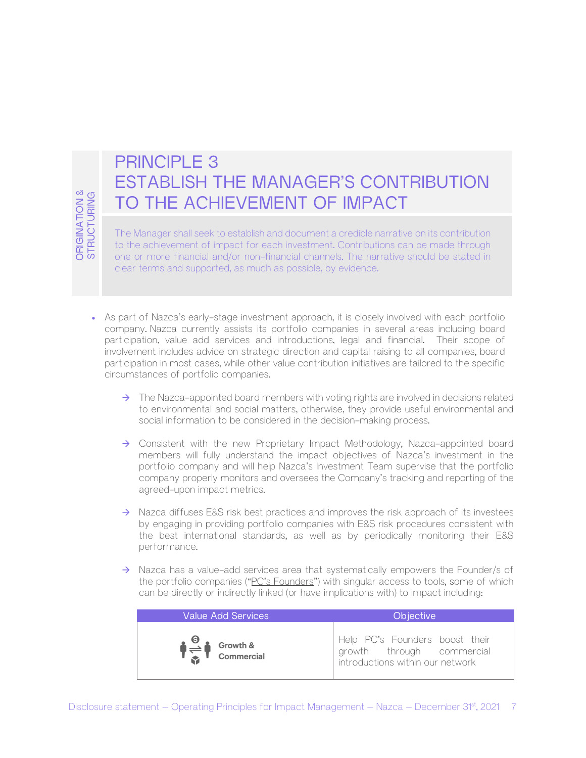# PRINCIPLE 3 ESTABLISH THE MANAGER'S CONTRIBUTION TO THE ACHIEVEMENT OF IMPACT

The Manager shall seek to establish and document a credible narrative on its contribution to the achievement of impact for each investment. Contributions can be made through one or more financial and/or non-financial channels. The narrative should be stated in clear terms and supported, as much as possible, by evidence.

- Disclosure statement Operating Friedric Survey (Fig. 1990)<br>
The Meroper shall developer and document a credit encoding manual control of the control of the control frame of the control of the control of the control of • As part of Nazca's early-stage investment approach, it is closely involved with each portfolio company. Nazca currently assists its portfolio companies in several areas including board participation, value add services and introductions, legal and financial. Their scope of involvement includes advice on strategic direction and capital raising to all companies, board participation in most cases, while other value contribution initiatives are tailored to the specific circumstances of portfolio companies.
	- $\rightarrow$  The Nazca-appointed board members with voting rights are involved in decisions related to environmental and social matters, otherwise, they provide useful environmental and social information to be considered in the decision-making process.
	- $\rightarrow$  Consistent with the new Proprietary Impact Methodology, Nazca-appointed board members will fully understand the impact objectives of Nazca's investment in the portfolio company and will help Nazca's Investment Team supervise that the portfolio company properly monitors and oversees the Company's tracking and reporting of the agreed-upon impact metrics.
	- $\rightarrow$  Nazca diffuses E&S risk best practices and improves the risk approach of its investees by engaging in providing portfolio companies with E&S risk procedures consistent with the best international standards, as well as by periodically monitoring their E&S performance.
	- $\rightarrow$  Nazca has a value-add services area that systematically empowers the Founder/s of the portfolio companies ("PC's Founders") with singular access to tools, some of which can be directly or indirectly linked (or have implications with) to impact including:

| Value Add Services     | <b>Objective</b>                                                                                |
|------------------------|-------------------------------------------------------------------------------------------------|
| $\frac{6}{2}$ Growth & | Help PC's Founders boost their<br>growth through commercial<br>introductions within our network |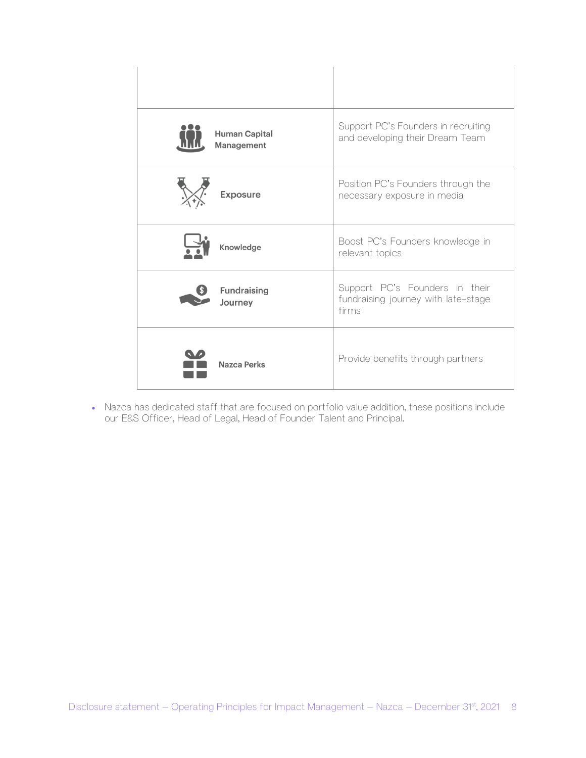| <b>Human Capital</b><br>Management | Support PC's Founders in recruiting<br>and developing their Dream Team         |
|------------------------------------|--------------------------------------------------------------------------------|
| <b>Exposure</b>                    | Position PC's Founders through the<br>necessary exposure in media              |
| Knowledge                          | Boost PC's Founders knowledge in<br>relevant topics                            |
| <b>Fundraising</b><br>Journey      | Support PC's Founders in their<br>fundraising journey with late-stage<br>firms |
| Nazca Perks                        | Provide benefits through partners                                              |

• Nazca has dedicated staff that are focused on portfolio value addition, these positions include our E&S Officer, Head of Legal, Head of Founder Talent and Principal.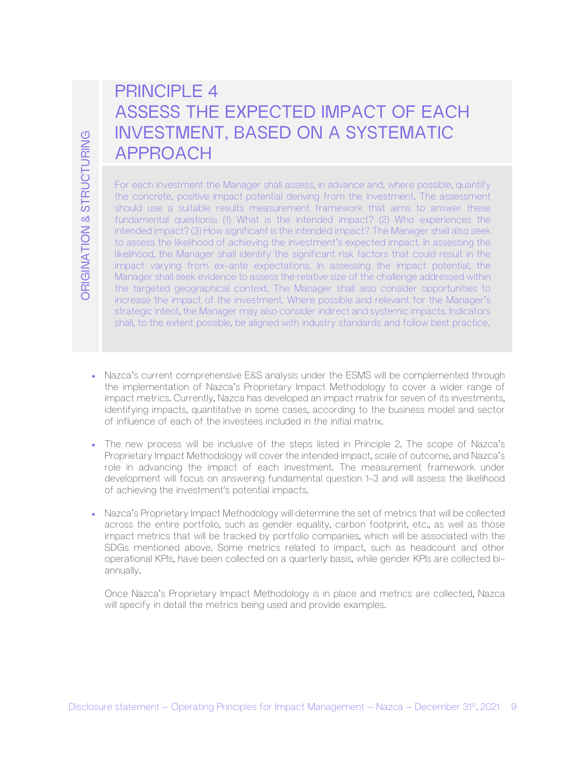# PRINCIPLE 4 ASSESS THE EXPECTED IMPACT OF EACH INVESTMENT, BASED ON A SYSTEMATIC APPROACH

OF THE Complete The Management – Complete The Complete The Management – Operating Principles for Impact Management – Nazca – The Management Complete The Management – Nazca – The Complete Complete Complete Complete Complet For each investment the Manager shall assess, in advance and, where possible, quantify the concrete, positive impact potential deriving from the investment. The assessment should use a suitable results measurement framework that aims to answer these fundamental questions: (1) What is the intended impact? (2) Who experiences the intended impact? (3) How significant is the intended impact? The Manager shall also seek to assess the likelihood of achieving the investment's expected impact. In assessing the likelihood, the Manager shall identify the significant risk factors that could result in the impact varying from ex-ante expectations. In assessing the impact potential, the Manager shall seek evidence to assess the relative size of the challenge addressed within the targeted geographical context. The Manager shall also consider opportunities to increase the impact of the investment. Where possible and relevant for the Manager's strategic intent, the Manager may also consider indirect and systemic impacts. Indicators shall, to the extent possible, be aligned with industry standards and follow best practice.

- Nazca's current comprehensive E&S analysis under the ESMS will be complemented through the implementation of Nazca's Proprietary Impact Methodology to cover a wider range of impact metrics. Currently, Nazca has developed an impact matrix for seven of its investments, identifying impacts, quantitative in some cases, according to the business model and sector of influence of each of the investees included in the initial matrix.
- The new process will be inclusive of the steps listed in Principle 2. The scope of Nazca's Proprietary Impact Methodology will cover the intended impact, scale of outcome, and Nazca's role in advancing the impact of each investment. The measurement framework under development will focus on answering fundamental question 1-3 and will assess the likelihood of achieving the investment's potential impacts.
- Nazca's Proprietary Impact Methodology will determine the set of metrics that will be collected across the entire portfolio, such as gender equality, carbon footprint, etc., as well as those impact metrics that will be tracked by portfolio companies, which will be associated with the SDGs mentioned above. Some metrics related to impact, such as headcount and other operational KPIs, have been collected on a quarterly basis, while gender KPIs are collected biannually.

Once Nazca's Proprietary Impact Methodology is in place and metrics are collected, Nazca will specify in detail the metrics being used and provide examples.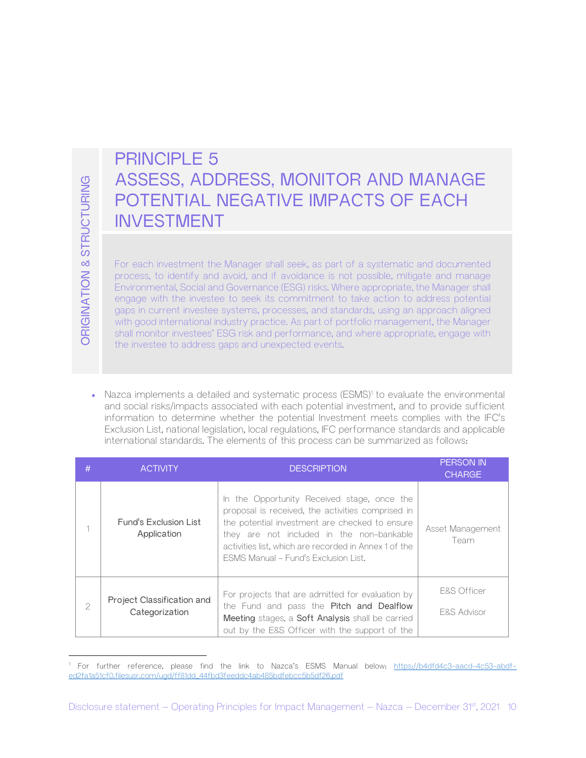# PRINCIPLE 5 ASSESS, ADDRESS, MONITOR AND MANAGE POTENTIAL NEGATIVE IMPACTS OF EACH INVESTMENT

| ORIGINATION & STRUCTURING | ASSESS, ADDRESS, MONITOR AND MANAGE<br>POTENTIAL NEGATIVE IMPACTS OF EACH<br><b>INVESTMENT</b><br>For each investment the Manager shall seek, as part of a systematic and documented<br>process, to identify and avoid, and if avoidance is not possible, mitigate and manage<br>Environmental, Social and Governance (ESG) risks. Where appropriate, the Manager shall<br>engage with the investee to seek its commitment to take action to address potential<br>gaps in current investee systems, processes, and standards, using an approach aligned<br>with good international industry practice. As part of portfolio management, the Manager<br>shall monitor investees' ESG risk and performance, and where appropriate, engage with<br>the investee to address gaps and unexpected events. |                                                                                                                                                                                                                                                                                                                                                                                                                                                                                                                    |                          |
|---------------------------|----------------------------------------------------------------------------------------------------------------------------------------------------------------------------------------------------------------------------------------------------------------------------------------------------------------------------------------------------------------------------------------------------------------------------------------------------------------------------------------------------------------------------------------------------------------------------------------------------------------------------------------------------------------------------------------------------------------------------------------------------------------------------------------------------|--------------------------------------------------------------------------------------------------------------------------------------------------------------------------------------------------------------------------------------------------------------------------------------------------------------------------------------------------------------------------------------------------------------------------------------------------------------------------------------------------------------------|--------------------------|
| #                         | <b>ACTIVITY</b>                                                                                                                                                                                                                                                                                                                                                                                                                                                                                                                                                                                                                                                                                                                                                                                    | Nazca implements a detailed and systematic process (ESMS) <sup>1</sup> to evaluate the environmental<br>and social risks/impacts associated with each potential investment, and to provide sufficient<br>information to determine whether the potential Investment meets complies with the IFC's<br>Exclusion List, national legislation, local regulations, IFC performance standards and applicable<br>international standards. The elements of this process can be summarized as follows:<br><b>DESCRIPTION</b> | <b>PERSON IN</b>         |
|                           |                                                                                                                                                                                                                                                                                                                                                                                                                                                                                                                                                                                                                                                                                                                                                                                                    | In the Opportunity Received stage, once the                                                                                                                                                                                                                                                                                                                                                                                                                                                                        | <b>CHARGE</b>            |
| 1                         | Fund's Exclusion List<br>Application                                                                                                                                                                                                                                                                                                                                                                                                                                                                                                                                                                                                                                                                                                                                                               | proposal is received, the activities comprised in<br>the potential investment are checked to ensure<br>they are not included in the non-bankable<br>activities list, which are recorded in Annex 1 of the<br>ESMS Manual - Fund's Exclusion List.                                                                                                                                                                                                                                                                  | Asset Management<br>Team |

<sup>&</sup>lt;sup>1</sup> For further reference, please find the link to Nazca's ESMS Manual below: https://b4dfd4c3-aacd-4c53-abdfed2fa1a51cf0.filesusr.com/ugd/ff81dd\_44fbd3feeddc4ab485bdfebcc5b5df26.pdf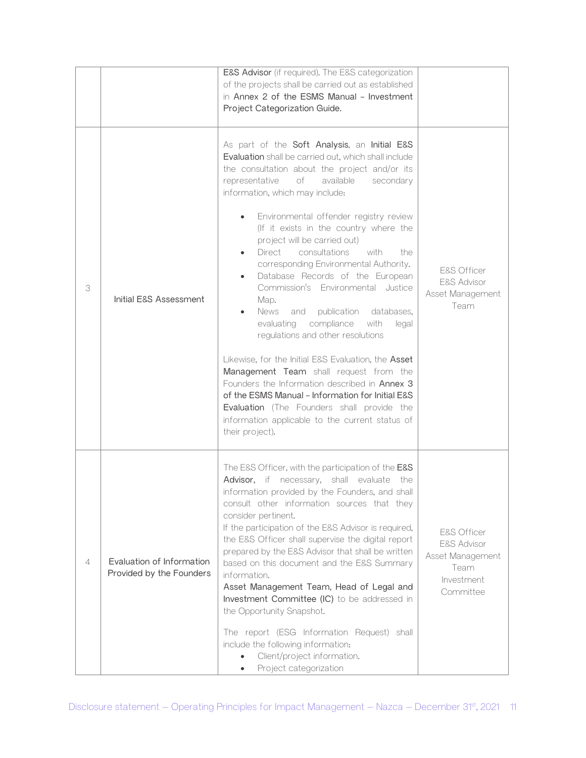|                |                                                       | E&S Advisor (if required). The E&S categorization<br>of the projects shall be carried out as established<br>in Annex 2 of the ESMS Manual - Investment<br>Project Categorization Guide.                                                                                                                                                                                                                                                                                                                                                                                                                                                                                                                                                      |                                                                                              |
|----------------|-------------------------------------------------------|----------------------------------------------------------------------------------------------------------------------------------------------------------------------------------------------------------------------------------------------------------------------------------------------------------------------------------------------------------------------------------------------------------------------------------------------------------------------------------------------------------------------------------------------------------------------------------------------------------------------------------------------------------------------------------------------------------------------------------------------|----------------------------------------------------------------------------------------------|
|                |                                                       | As part of the Soft Analysis, an Initial E&S<br>Evaluation shall be carried out, which shall include<br>the consultation about the project and/or its<br>representative<br>of<br>available<br>secondary<br>information, which may include:                                                                                                                                                                                                                                                                                                                                                                                                                                                                                                   |                                                                                              |
| 3              | Initial E&S Assessment                                | Environmental offender registry review<br>(If it exists in the country where the<br>project will be carried out)<br>Direct consultations<br>with<br>the.<br>corresponding Environmental Authority.<br>Database Records of the European<br>Commission's Environmental Justice<br>Map.<br>News<br>publication<br>databases,<br>and<br>compliance<br>with<br>evaluating<br>legal<br>regulations and other resolutions<br>Likewise, for the Initial E&S Evaluation, the Asset<br>Management Team shall request from the<br>Founders the Information described in Annex 3<br>of the ESMS Manual - Information for Initial E&S<br>Evaluation (The Founders shall provide the<br>information applicable to the current status of<br>their project). | <b>E&amp;S Officer</b><br><b>E&amp;S Advisor</b><br>Asset Management<br>Team                 |
| $\overline{4}$ | Evaluation of Information<br>Provided by the Founders | The E&S Officer, with the participation of the E&S<br>Advisor, if necessary, shall evaluate the<br>information provided by the Founders, and shall<br>consult other information sources that they<br>consider pertinent.<br>If the participation of the E&S Advisor is required,<br>the E&S Officer shall supervise the digital report<br>prepared by the E&S Advisor that shall be written<br>based on this document and the E&S Summary<br>information.<br>Asset Management Team, Head of Legal and<br>Investment Committee (IC) to be addressed in<br>the Opportunity Snapshot.<br>The report (ESG Information Request) shall<br>include the following information:<br>Client/project information.<br>Project categorization              | E&S Officer<br><b>E&amp;S Advisor</b><br>Asset Management<br>Team<br>Investment<br>Committee |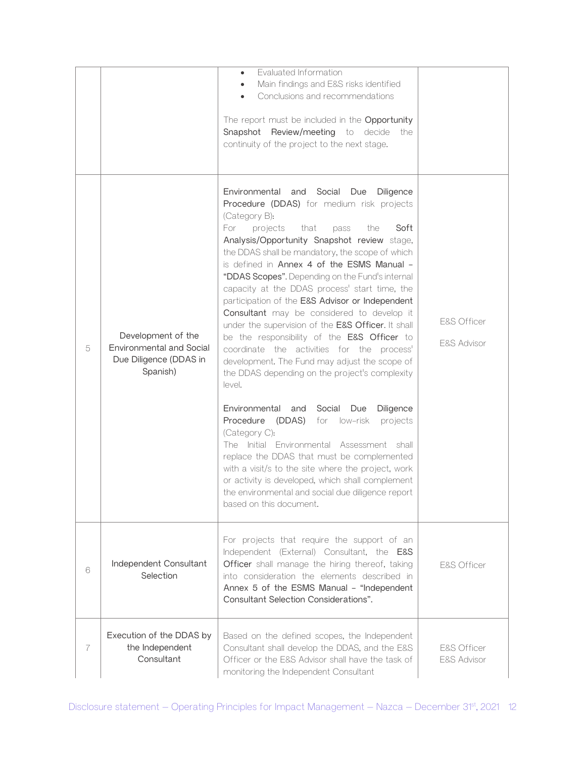|   |                                                                                             | Evaluated Information<br>$\bullet$<br>Main findings and E&S risks identified<br>Conclusions and recommendations<br>The report must be included in the Opportunity<br>Snapshot Review/meeting to decide<br>the<br>continuity of the project to the next stage.                                                                                                                                                                                                                                                                                                                                                                                                                                                                                                                                                                                                                                                                                                                                                                                                                                                                                                                                     |                                       |
|---|---------------------------------------------------------------------------------------------|---------------------------------------------------------------------------------------------------------------------------------------------------------------------------------------------------------------------------------------------------------------------------------------------------------------------------------------------------------------------------------------------------------------------------------------------------------------------------------------------------------------------------------------------------------------------------------------------------------------------------------------------------------------------------------------------------------------------------------------------------------------------------------------------------------------------------------------------------------------------------------------------------------------------------------------------------------------------------------------------------------------------------------------------------------------------------------------------------------------------------------------------------------------------------------------------------|---------------------------------------|
| 5 | Development of the<br><b>Environmental and Social</b><br>Due Diligence (DDAS in<br>Spanish) | Environmental and<br>Social Due<br>Diligence<br>Procedure (DDAS) for medium risk projects<br>(Category B):<br>projects<br>that<br>For<br>the<br>Soft<br>pass<br>Analysis/Opportunity Snapshot review stage,<br>the DDAS shall be mandatory, the scope of which<br>is defined in Annex 4 of the ESMS Manual -<br>"DDAS Scopes". Depending on the Fund's internal<br>capacity at the DDAS process' start time, the<br>participation of the E&S Advisor or Independent<br>Consultant may be considered to develop it<br>under the supervision of the E&S Officer. It shall<br>be the responsibility of the E&S Officer to<br>coordinate the activities for the process'<br>development. The Fund may adjust the scope of<br>the DDAS depending on the project's complexity<br>level.<br>Environmental<br>Social<br>and<br>Due<br>Diligence<br>Procedure<br>(DDAS)<br>for low-risk<br>projects<br>(Category C):<br>The Initial Environmental Assessment shall<br>replace the DDAS that must be complemented<br>with a visit/s to the site where the project, work<br>or activity is developed, which shall complement<br>the environmental and social due diligence report<br>based on this document. | E&S Officer<br><b>E&amp;S Advisor</b> |
| 6 | Independent Consultant<br>Selection                                                         | For projects that require the support of an<br>Independent (External) Consultant, the E&S<br>Officer shall manage the hiring thereof, taking<br>into consideration the elements described in<br>Annex 5 of the ESMS Manual - "Independent<br>Consultant Selection Considerations".                                                                                                                                                                                                                                                                                                                                                                                                                                                                                                                                                                                                                                                                                                                                                                                                                                                                                                                | <b>E&amp;S Officer</b>                |
| 7 | Execution of the DDAS by<br>the Independent<br>Consultant                                   | Based on the defined scopes, the Independent<br>Consultant shall develop the DDAS, and the E&S<br>Officer or the E&S Advisor shall have the task of<br>monitoring the Independent Consultant                                                                                                                                                                                                                                                                                                                                                                                                                                                                                                                                                                                                                                                                                                                                                                                                                                                                                                                                                                                                      | E&S Officer<br>E&S Advisor            |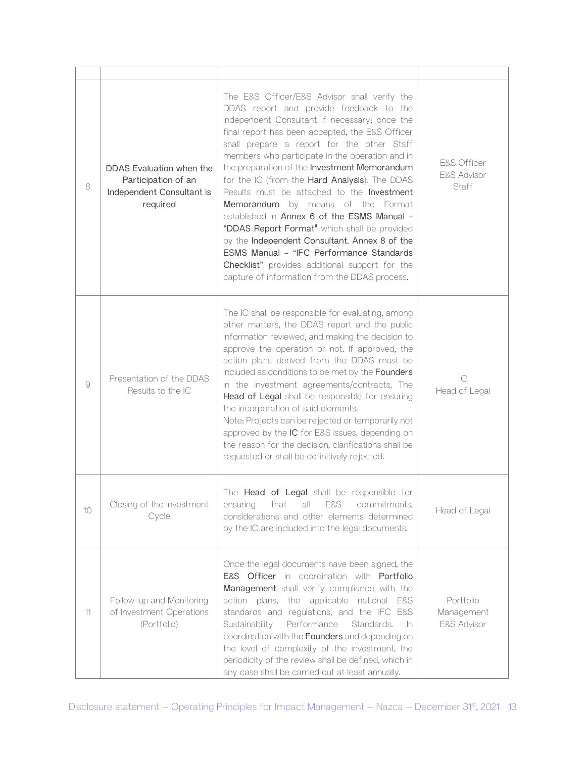| 8  | DDAS Evaluation when the<br>Participation of an<br>Independent Consultant is<br>required | The E&S Officer/E&S Advisor shall verify the<br>DDAS report and provide feedback to the<br>Independent Consultant if necessary; once the<br>final report has been accepted, the E&S Officer<br>shall prepare a report for the other Staff<br>members who participate in the operation and in<br>the preparation of the Investment Memorandum<br>for the IC (from the Hard Analysis). The DDAS<br>Results must be attached to the <b>Investment</b><br>Memorandum by means of the Format<br>established in Annex 6 of the ESMS Manual -<br>"DDAS Report Format" which shall be provided<br>by the Independent Consultant. Annex 8 of the<br>ESMS Manual - "IFC Performance Standards<br>Checklist" provides additional support for the<br>capture of information from the DDAS process. | <b>E&amp;S Officer</b><br><b>E&amp;S Advisor</b><br>Staff |
|----|------------------------------------------------------------------------------------------|----------------------------------------------------------------------------------------------------------------------------------------------------------------------------------------------------------------------------------------------------------------------------------------------------------------------------------------------------------------------------------------------------------------------------------------------------------------------------------------------------------------------------------------------------------------------------------------------------------------------------------------------------------------------------------------------------------------------------------------------------------------------------------------|-----------------------------------------------------------|
| 9  | Presentation of the DDAS<br>Results to the IC                                            | The IC shall be responsible for evaluating, among<br>other matters, the DDAS report and the public<br>information reviewed, and making the decision to<br>approve the operation or not. If approved, the<br>action plans derived from the DDAS must be<br>included as conditions to be met by the Founders<br>in the investment agreements/contracts. The<br>Head of Legal shall be responsible for ensuring<br>the incorporation of said elements.<br>Note: Projects can be rejected or temporarily not<br>approved by the IC for E&S issues, depending on<br>the reason for the decision, clarifications shall be<br>requested or shall be definitively rejected.                                                                                                                    | IC<br>Head of Legal                                       |
| 10 | Closing of the Investment<br>Cycle                                                       | The Head of Legal shall be responsible for<br>commitments,<br>all<br>E&S<br>ensuring<br>that<br>considerations and other elements determined<br>by the IC are included into the legal documents.                                                                                                                                                                                                                                                                                                                                                                                                                                                                                                                                                                                       | Head of Legal                                             |
| 11 | Follow-up and Monitoring<br>of Investment Operations<br>(Portfolio)                      | Once the legal documents have been signed, the<br>E&S Officer in coordination with Portfolio<br>Management shall verify compliance with the<br>action plans, the applicable<br>national E&S<br>standards and regulations, and the IFC E&S<br>Performance<br>Sustainability<br>Standards.<br>In<br>coordination with the Founders and depending on<br>the level of complexity of the investment, the<br>periodicity of the review shall be defined, which in<br>any case shall be carried out at least annually.                                                                                                                                                                                                                                                                        | Portfolio<br>Management<br>E&S Advisor                    |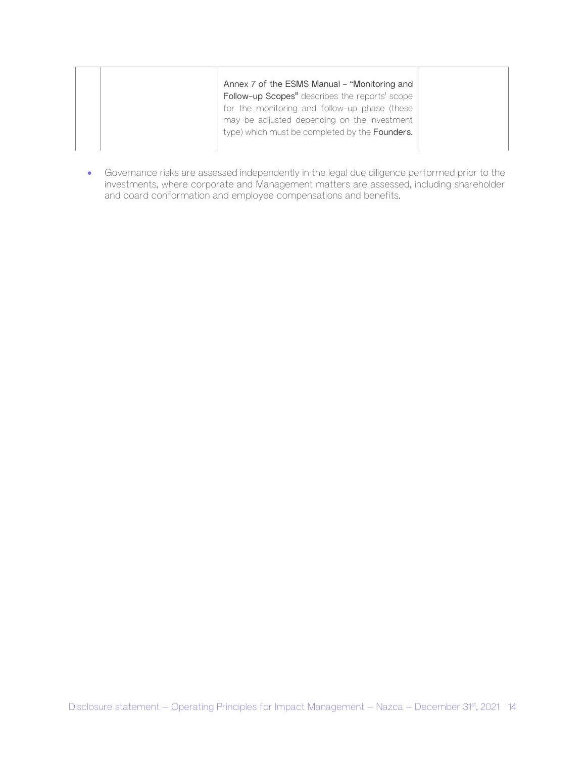| Annex 7 of the ESMS Manual - "Monitoring and   |
|------------------------------------------------|
| Follow-up Scopes" describes the reports' scope |
| for the monitoring and follow-up phase (these  |
| may be adjusted depending on the investment    |
| type) which must be completed by the Founders. |
|                                                |

• Governance risks are assessed independently in the legal due diligence performed prior to the investments, where corporate and Management matters are assessed, including shareholder and board conformation and employee compensations and benefits.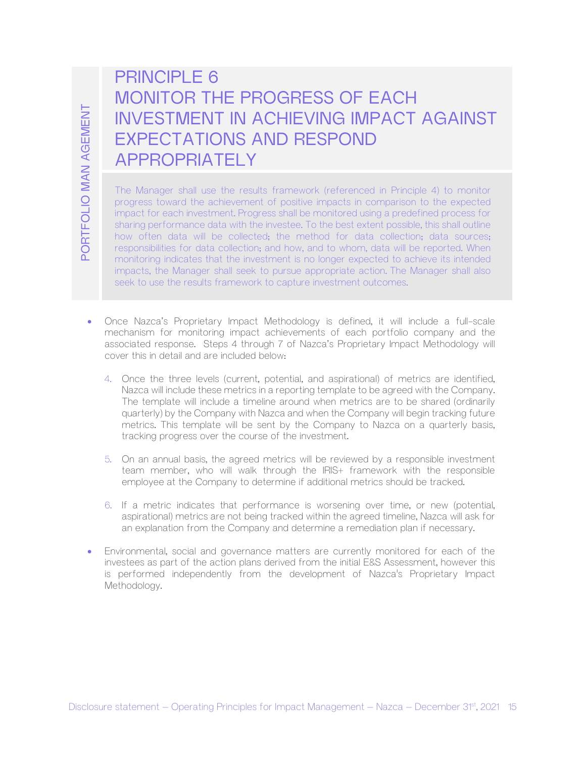# PRINCIPI F 6 MONITOR THE PROGRESS OF EACH INVESTMENT IN ACHIEVING IMPACT AGAINST EXPECTATIONS AND RESPOND APPROPRIATELY

INVESTMENT IN ACHIEVING IMPACT AGAINST<br>
EXPECTATIONS AND RESPOND<br>
APPROPRIATELY<br>
The Management and the results formerate, (elementation is the model of<br>
many statement of institute member in the contrast of institute mem The Manager shall use the results framework (referenced in Principle 4) to monitor progress toward the achievement of positive impacts in comparison to the expected impact for each investment. Progress shall be monitored using a predefined process for sharing performance data with the investee. To the best extent possible, this shall outline how often data will be collected; the method for data collection; data sources; responsibilities for data collection; and how, and to whom, data will be reported. When monitoring indicates that the investment is no longer expected to achieve its intended impacts, the Manager shall seek to pursue appropriate action. The Manager shall also seek to use the results framework to capture investment outcomes.

- Once Nazca's Proprietary Impact Methodology is defined, it will include a full-scale mechanism for monitoring impact achievements of each portfolio company and the associated response. Steps 4 through 7 of Nazca's Proprietary Impact Methodology will cover this in detail and are included below:
	- 4. Once the three levels (current, potential, and aspirational) of metrics are identified, Nazca will include these metrics in a reporting template to be agreed with the Company. The template will include a timeline around when metrics are to be shared (ordinarily quarterly) by the Company with Nazca and when the Company will begin tracking future metrics. This template will be sent by the Company to Nazca on a quarterly basis, tracking progress over the course of the investment.
	- 5. On an annual basis, the agreed metrics will be reviewed by a responsible investment team member, who will walk through the IRIS+ framework with the responsible employee at the Company to determine if additional metrics should be tracked.
	- 6. If a metric indicates that performance is worsening over time, or new (potential, aspirational) metrics are not being tracked within the agreed timeline, Nazca will ask for an explanation from the Company and determine a remediation plan if necessary.
- Environmental, social and governance matters are currently monitored for each of the investees as part of the action plans derived from the initial E&S Assessment, however this is performed independently from the development of Nazca's Proprietary Impact Methodology.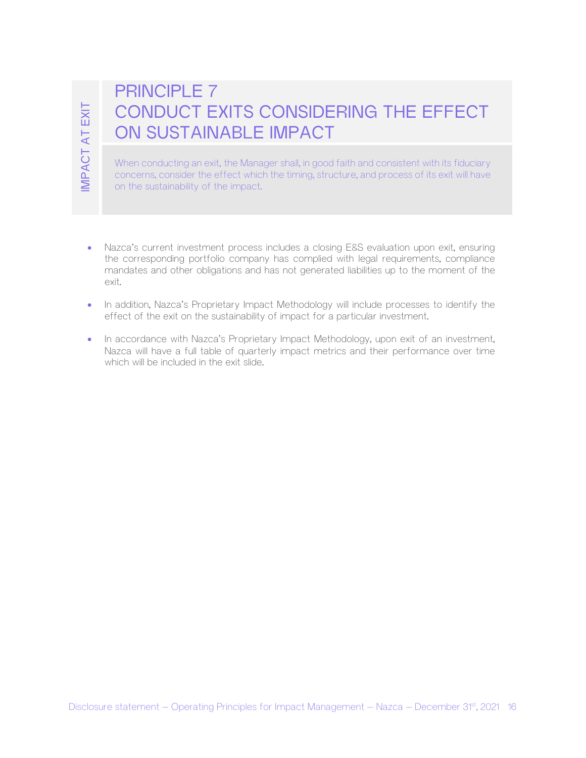# PRINCIPLE 7 CONDUCT EXITS CONSIDERING THE EFFECT ON SUSTAINABLE IMPACT

When conducting an exit, the Manager shall, in good faith and consistent with its fiduciary concerns, consider the effect which the timing, structure, and process of its exit will have on the sustainability of the impact.

- CONDUCT EXITS CONSIDERING THE EFFECT<br>  $\frac{1}{26}$  ON SUSTAINABLE IMPACT<br>  $\frac{1}{26}$  operating ment the Vangue stating ond failured transformation in the Vangue of American Management Management At the Vangue for Transi • Nazca's current investment process includes a closing E&S evaluation upon exit, ensuring the corresponding portfolio company has complied with legal requirements, compliance mandates and other obligations and has not generated liabilities up to the moment of the exit.
	- In addition, Nazca's Proprietary Impact Methodology will include processes to identify the effect of the exit on the sustainability of impact for a particular investment.
	- In accordance with Nazca's Proprietary Impact Methodology, upon exit of an investment, Nazca will have a full table of quarterly impact metrics and their performance over time which will be included in the exit slide.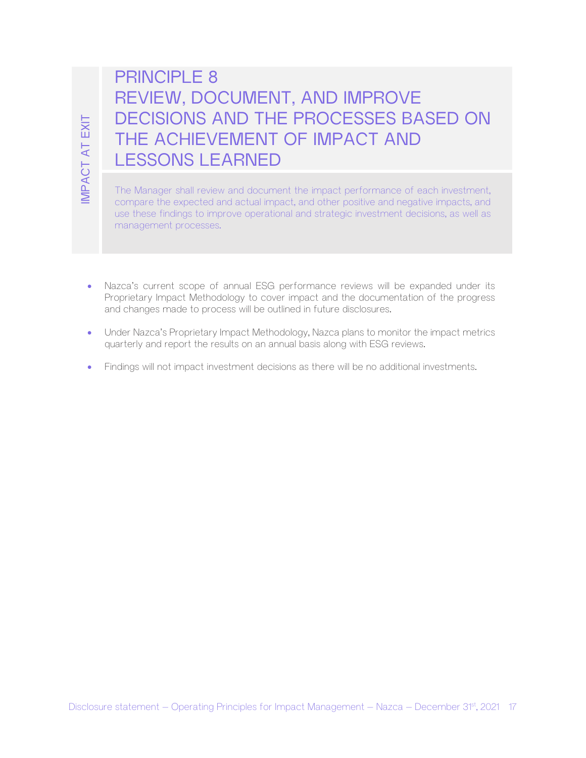# DISCUSSIONS AND THE PHOCESSES BASED ON<br>
THE ACHIEVEMENT OF IMPACT AND<br>
SE<br>
OF The Vanage anal realise and for ment the impact information of and increasing<br>
SE<br>
The Vanage anal realise and for ment the impact information o PRINCIPLE 8 REVIEW, DOCUMENT, AND IMPROVE DECISIONS AND THE PROCESSES BASED ON THE ACHIEVEMENT OF IMPACT AND LESSONS LEARNED

The Manager shall review and document the impact performance of each investment, compare the expected and actual impact, and other positive and negative impacts, and use these findings to improve operational and strategic investment decisions, as well as management processes.

- Nazca's current scope of annual ESG performance reviews will be expanded under its Proprietary Impact Methodology to cover impact and the documentation of the progress and changes made to process will be outlined in future disclosures.
- Under Nazca's Proprietary Impact Methodology, Nazca plans to monitor the impact metrics quarterly and report the results on an annual basis along with ESG reviews.
- Findings will not impact investment decisions as there will be no additional investments.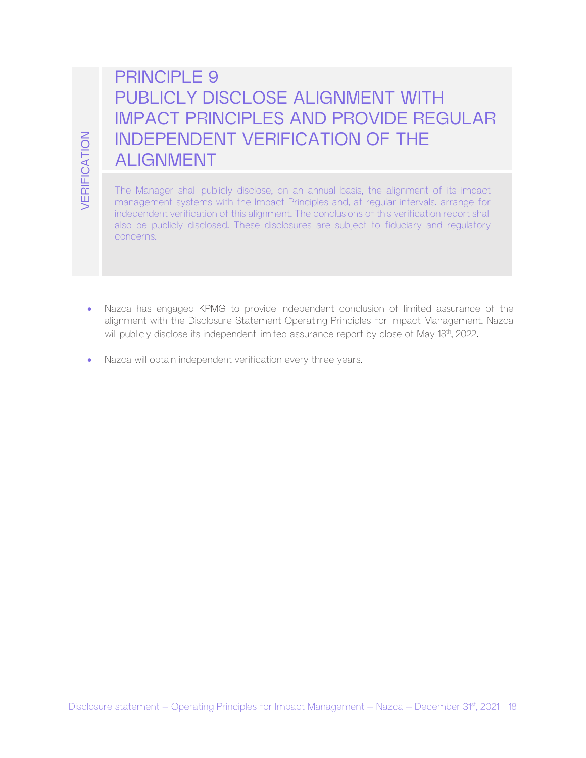# PRINCIPLE 9 PUBLICLY DISCLOSE ALIGNMENT WITH IMPACT PRINCIPLES AND PROVIDE REGULAR INDEPENDENT VERIFICATION OF THE ALIGNMENT

DISCUTE - THE ALIGNITY VERIFICATION OF THE<br>
EQ. ALIGNINENT<br>
The Management system is the impact Principles into a regular microsure of the impact<br>
interaprent system is the impact Principles into a regular microscopy and<br> The Manager shall publicly disclose, on an annual basis, the alignment of its impact management systems with the Impact Principles and, at regular intervals, arrange for independent verification of this alignment. The conclusions of this verification report shall also be publicly disclosed. These disclosures are subject to fiduciary and regulatory concerns.

- Nazca has engaged KPMG to provide independent conclusion of limited assurance of the alignment with the Disclosure Statement Operating Principles for Impact Management. Nazca will publicly disclose its independent limited assurance report by close of May 18th, 2022.
- Nazca will obtain independent verification every three years.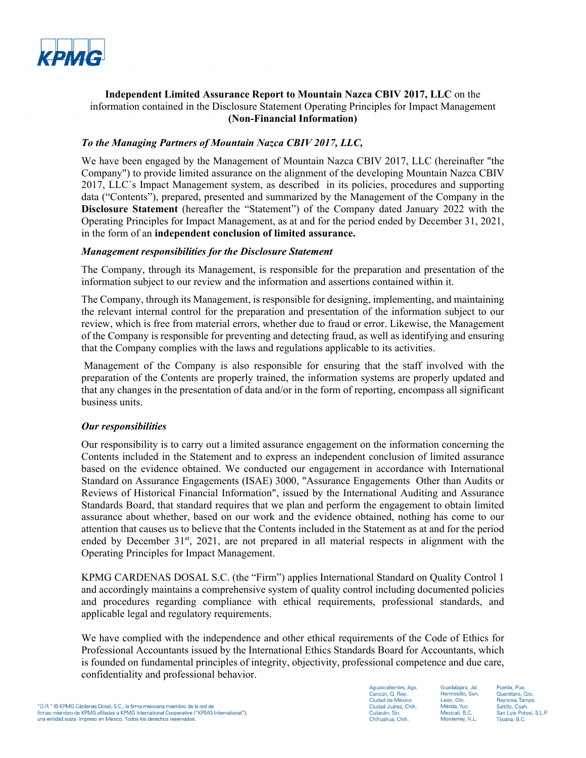

### **Independent Limited Assurance Report to Mountain Nazca CBIV 2017, LLC** on the information contained in the Disclosure Statement Operating Principles for Impact Management **(Non-Financial Information)**

### *To the Managing Partners of Mountain Nazca CBIV 2017, LLC,*

We have been engaged by the Management of Mountain Nazca CBIV 2017, LLC (hereinafter "the Company") to provide limited assurance on the alignment of the developing Mountain Nazca CBIV 2017, LLC´s Impact Management system, as described in its policies, procedures and supporting data ("Contents"), prepared, presented and summarized by the Management of the Company in the **Disclosure Statement** (hereafter the "Statement") of the Company dated January 2022 with the Operating Principles for Impact Management, as at and for the period ended by December 31, 2021, in the form of an **independent conclusion of limited assurance.** 

### *Management responsibilities for the Disclosure Statement*

The Company, through its Management, is responsible for the preparation and presentation of the information subject to our review and the information and assertions contained within it.

The Company, through its Management, is responsible for designing, implementing, and maintaining the relevant internal control for the preparation and presentation of the information subject to our review, which is free from material errors, whether due to fraud or error. Likewise, the Management of the Company is responsible for preventing and detecting fraud, as well as identifying and ensuring that the Company complies with the laws and regulations applicable to its activities.

 Management of the Company is also responsible for ensuring that the staff involved with the preparation of the Contents are properly trained, the information systems are properly updated and that any changes in the presentation of data and/or in the form of reporting, encompass all significant business units.

### *Our responsibilities*

Our responsibility is to carry out a limited assurance engagement on the information concerning the Contents included in the Statement and to express an independent conclusion of limited assurance based on the evidence obtained. We conducted our engagement in accordance with International Standard on Assurance Engagements (ISAE) 3000, "Assurance Engagements Other than Audits or Reviews of Historical Financial Information", issued by the International Auditing and Assurance Standards Board, that standard requires that we plan and perform the engagement to obtain limited assurance about whether, based on our work and the evidence obtained, nothing has come to our attention that causes us to believe that the Contents included in the Statement as at and for the period ended by December  $31<sup>st</sup>$ , 2021, are not prepared in all material respects in alignment with the Operating Principles for Impact Management.

KPMG CARDENAS DOSAL S.C. (the "Firm") applies International Standard on Quality Control 1 and accordingly maintains a comprehensive system of quality control including documented policies and procedures regarding compliance with ethical requirements, professional standards, and applicable legal and regulatory requirements.

We have complied with the independence and other ethical requirements of the Code of Ethics for Professional Accountants issued by the International Ethics Standards Board for Accountants, which is founded on fundamental principles of integrity, objectivity, professional competence and due care, confidentiality and professional behavior.

Aguascalientes, Ags. Cancún O Boo Ciudad de México Ciudad Juárez, Chih. Culiacán, Sin Chihuahua, Chih.

Guadalaiara, Jal. Hermosillo, Son León, Gto. Mérida, Yuc Mexicali, B.C Monterrey, N.L.

Puebla, Pue Duerétaro Oro Reynosa, Tamps Saltillo, Coah. San Luis Potosí, S.L.P. Tiiuana, B.C.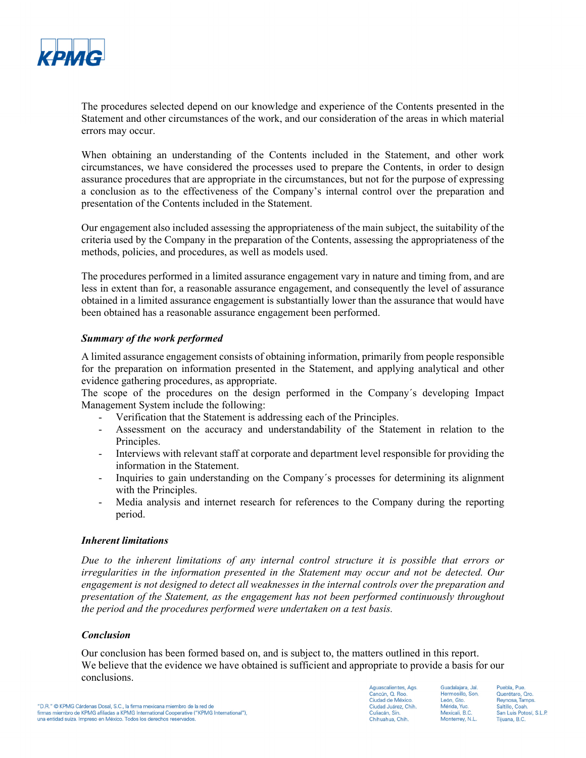

The procedures selected depend on our knowledge and experience of the Contents presented in the Statement and other circumstances of the work, and our consideration of the areas in which material errors may occur.

When obtaining an understanding of the Contents included in the Statement, and other work circumstances, we have considered the processes used to prepare the Contents, in order to design assurance procedures that are appropriate in the circumstances, but not for the purpose of expressing a conclusion as to the effectiveness of the Company's internal control over the preparation and presentation of the Contents included in the Statement.

Our engagement also included assessing the appropriateness of the main subject, the suitability of the criteria used by the Company in the preparation of the Contents, assessing the appropriateness of the methods, policies, and procedures, as well as models used.

The procedures performed in a limited assurance engagement vary in nature and timing from, and are less in extent than for, a reasonable assurance engagement, and consequently the level of assurance obtained in a limited assurance engagement is substantially lower than the assurance that would have been obtained has a reasonable assurance engagement been performed.

### *Summary of the work performed*

A limited assurance engagement consists of obtaining information, primarily from people responsible for the preparation on information presented in the Statement, and applying analytical and other evidence gathering procedures, as appropriate.

The scope of the procedures on the design performed in the Company´s developing Impact Management System include the following:

- Verification that the Statement is addressing each of the Principles.
- Assessment on the accuracy and understandability of the Statement in relation to the Principles.
- Interviews with relevant staff at corporate and department level responsible for providing the information in the Statement.
- Inquiries to gain understanding on the Company´s processes for determining its alignment with the Principles.
- Media analysis and internet research for references to the Company during the reporting period.

### *Inherent limitations*

*Due to the inherent limitations of any internal control structure it is possible that errors or irregularities in the information presented in the Statement may occur and not be detected. Our engagement is not designed to detect all weaknesses in the internal controls over the preparation and presentation of the Statement, as the engagement has not been performed continuously throughout the period and the procedures performed were undertaken on a test basis.* 

### *Conclusion*

Our conclusion has been formed based on, and is subject to, the matters outlined in this report. We believe that the evidence we have obtained is sufficient and appropriate to provide a basis for our conclusions.

quascalientes, Ags. Cancún O Roo Ciudad de México. Ciudad Juárez, Chih. Culiacán, Sin Chihuahua, Chih.

Guadalaiara, Jal. Hermosillo Son León, Gto. Mérida, Yuc. Mexicali, B.C. Monterrey, N.L.

Puebla, Pue Querétaro, Qro. Reynosa, Tamps Saltillo, Coah. San Luis Potosí, S.L.P. Tiiuana, B.C.